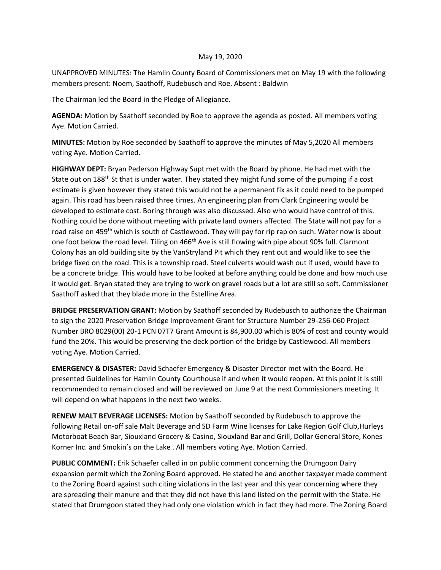## May 19, 2020

UNAPPROVED MINUTES: The Hamlin County Board of Commissioners met on May 19 with the following members present: Noem, Saathoff, Rudebusch and Roe. Absent : Baldwin

The Chairman led the Board in the Pledge of Allegiance.

**AGENDA:** Motion by Saathoff seconded by Roe to approve the agenda as posted. All members voting Aye. Motion Carried.

**MINUTES:** Motion by Roe seconded by Saathoff to approve the minutes of May 5,2020 All members voting Aye. Motion Carried.

**HIGHWAY DEPT:** Bryan Pederson Highway Supt met with the Board by phone. He had met with the State out on 188<sup>th</sup> St that is under water. They stated they might fund some of the pumping if a cost estimate is given however they stated this would not be a permanent fix as it could need to be pumped again. This road has been raised three times. An engineering plan from Clark Engineering would be developed to estimate cost. Boring through was also discussed. Also who would have control of this. Nothing could be done without meeting with private land owners affected. The State will not pay for a road raise on 459<sup>th</sup> which is south of Castlewood. They will pay for rip rap on such. Water now is about one foot below the road level. Tiling on 466<sup>th</sup> Ave is still flowing with pipe about 90% full. Clarmont Colony has an old building site by the VanStryland Pit which they rent out and would like to see the bridge fixed on the road. This is a township road. Steel culverts would wash out if used, would have to be a concrete bridge. This would have to be looked at before anything could be done and how much use it would get. Bryan stated they are trying to work on gravel roads but a lot are still so soft. Commissioner Saathoff asked that they blade more in the Estelline Area.

**BRIDGE PRESERVATION GRANT:** Motion by Saathoff seconded by Rudebusch to authorize the Chairman to sign the 2020 Preservation Bridge Improvement Grant for Structure Number 29-256-060 Project Number BRO 8029(00) 20-1 PCN 07T7 Grant Amount is 84,900.00 which is 80% of cost and county would fund the 20%. This would be preserving the deck portion of the bridge by Castlewood. All members voting Aye. Motion Carried.

**EMERGENCY & DISASTER:** David Schaefer Emergency & Disaster Director met with the Board. He presented Guidelines for Hamlin County Courthouse if and when it would reopen. At this point it is still recommended to remain closed and will be reviewed on June 9 at the next Commissioners meeting. It will depend on what happens in the next two weeks.

**RENEW MALT BEVERAGE LICENSES:** Motion by Saathoff seconded by Rudebusch to approve the following Retail on-off sale Malt Beverage and SD Farm Wine licenses for Lake Region Golf Club,Hurleys Motorboat Beach Bar, Siouxland Grocery & Casino, Siouxland Bar and Grill, Dollar General Store, Kones Korner Inc. and Smokin's on the Lake . All members voting Aye. Motion Carried.

**PUBLIC COMMENT:** Erik Schaefer called in on public comment concerning the Drumgoon Dairy expansion permit which the Zoning Board approved. He stated he and another taxpayer made comment to the Zoning Board against such citing violations in the last year and this year concerning where they are spreading their manure and that they did not have this land listed on the permit with the State. He stated that Drumgoon stated they had only one violation which in fact they had more. The Zoning Board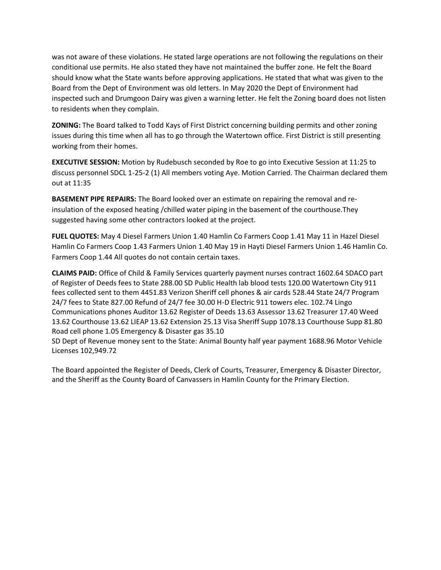was not aware of these violations. He stated large operations are not following the regulations on their conditional use permits. He also stated they have not maintained the buffer zone. He felt the Board should know what the State wants before approving applications. He stated that what was given to the Board from the Dept of Environment was old letters. In May 2020 the Dept of Environment had inspected such and Drumgoon Dairy was given a warning letter. He felt the Zoning board does not listen to residents when they complain.

**ZONING:** The Board talked to Todd Kays of First District concerning building permits and other zoning issues during this time when all has to go through the Watertown office. First District is still presenting working from their homes.

**EXECUTIVE SESSION:** Motion by Rudebusch seconded by Roe to go into Executive Session at 11:25 to discuss personnel SDCL 1-25-2 (1) All members voting Aye. Motion Carried. The Chairman declared them out at 11:35

**BASEMENT PIPE REPAIRS:** The Board looked over an estimate on repairing the removal and reinsulation of the exposed heating /chilled water piping in the basement of the courthouse.They suggested having some other contractors looked at the project.

**FUEL QUOTES:** May 4 Diesel Farmers Union 1.40 Hamlin Co Farmers Coop 1.41 May 11 in Hazel Diesel Hamlin Co Farmers Coop 1.43 Farmers Union 1.40 May 19 in Hayti Diesel Farmers Union 1.46 Hamlin Co. Farmers Coop 1.44 All quotes do not contain certain taxes.

**CLAIMS PAID:** Office of Child & Family Services quarterly payment nurses contract 1602.64 SDACO part of Register of Deeds fees to State 288.00 SD Public Health lab blood tests 120.00 Watertown City 911 fees collected sent to them 4451.83 Verizon Sheriff cell phones & air cards 528.44 State 24/7 Program 24/7 fees to State 827.00 Refund of 24/7 fee 30.00 H-D Electric 911 towers elec. 102.74 Lingo Communications phones Auditor 13.62 Register of Deeds 13.63 Assessor 13.62 Treasurer 17.40 Weed 13.62 Courthouse 13.62 LIEAP 13.62 Extension 25.13 Visa Sheriff Supp 1078.13 Courthouse Supp 81.80 Road cell phone 1.05 Emergency & Disaster gas 35.10

SD Dept of Revenue money sent to the State: Animal Bounty half year payment 1688.96 Motor Vehicle Licenses 102,949.72

The Board appointed the Register of Deeds, Clerk of Courts, Treasurer, Emergency & Disaster Director, and the Sheriff as the County Board of Canvassers in Hamlin County for the Primary Election.